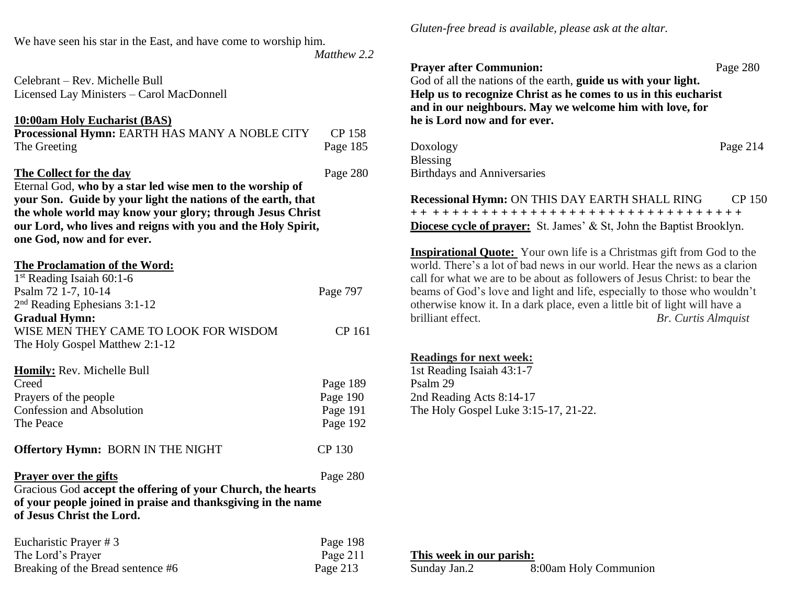We have seen his star in the East, and have come to worship him.

 *Matthew 2.2*

Celebrant – Rev. Michelle Bull Licensed Lay Ministers – Carol MacDonnell

#### **10:00am Holy Eucharist (BAS)**

| <b>Processional Hymn: EARTH HAS MANY A NOBLE CITY</b> | CP 158   |
|-------------------------------------------------------|----------|
| The Greeting                                          | Page 185 |

### **The Collect for the day** Page 280

Eternal God, **who by a star led wise men to the worship of your Son. Guide by your light the nations of the earth, that the whole world may know your glory; through Jesus Christ our Lord, who lives and reigns with you and the Holy Spirit, one God, now and for ever.**

**The Proclamation of the Word:**

| 1 <sup>st</sup> Reading Isaiah 60:1-6    |          |
|------------------------------------------|----------|
| Psalm 72 1-7, 10-14                      | Page 797 |
| $2nd$ Reading Ephesians 3:1-12           |          |
| <b>Gradual Hymn:</b>                     |          |
| WISE MEN THEY CAME TO LOOK FOR WISDOM    | CP 161   |
| The Holy Gospel Matthew 2:1-12           |          |
|                                          |          |
| <b>Homily:</b> Rev. Michelle Bull        |          |
| Creed                                    | Page 189 |
| Prayers of the people                    | Page 190 |
| <b>Confession and Absolution</b>         | Page 191 |
| The Peace                                | Page 192 |
| <b>Offertory Hymn: BORN IN THE NIGHT</b> | CP 130   |
| <b>Prayer over the gifts</b>             | Page 280 |

Gracious God **accept the offering of your Church, the hearts of your people joined in praise and thanksgiving in the name of Jesus Christ the Lord.**

| Eucharistic Prayer #3             | Page 198   |
|-----------------------------------|------------|
| The Lord's Prayer                 | Page $211$ |
| Breaking of the Bread sentence #6 | Page 213   |

*Gluten-free bread is available, please ask at the altar.*

# **Prayer after Communion:** Page 280 God of all the nations of the earth, **guide us with your light. Help us to recognize Christ as he comes to us in this eucharist and in our neighbours. May we welcome him with love, for he is Lord now and for ever.**

Doxology Page 214 Blessing Birthdays and Anniversaries

**Recessional Hymn: ON THIS DAY EARTH SHALL RING CP 150 + + + + + + + + + + + + + + + + + + + + + + + + + + + + + + + + + + Diocese cycle of prayer:** St. James' & St, John the Baptist Brooklyn.

**Inspirational Quote:** Your own life is a Christmas gift from God to the world. There's a lot of bad news in our world. Hear the news as a clarion call for what we are to be about as followers of Jesus Christ: to bear the beams of God's love and light and life, especially to those who wouldn't otherwise know it. In a dark place, even a little bit of light will have a brilliant effect. *Br. Curtis Almquist*

## **Readings for next week:**

1st Reading Isaiah 43:1-7 Psalm 29 2nd Reading Acts 8:14-17 The Holy Gospel Luke 3:15-17, 21-22.

**This week in our parish:**

| Sunday Jan.2 | 8:00am Holy Communion |
|--------------|-----------------------|
|--------------|-----------------------|